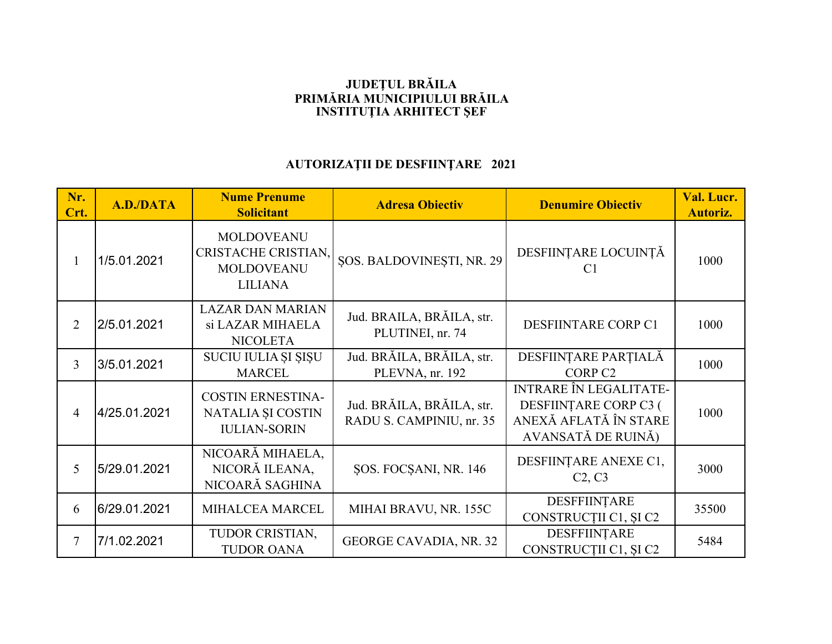## **JUDEŢUL BRĂILA PRIMĂRIA MUNICIPIULUI BRĂILAINSTITUŢIA ARHITECT ŞEF**

## **AUTORIZAŢII DE DESFIINŢARE 2021**

| Nr.<br>Crt.    | <b>A.D./DATA</b> | <b>Nume Prenume</b><br><b>Solicitant</b>                                        | <b>Adresa Obiectiv</b>                                | <b>Denumire Obiectiv</b>                                                                              | Val. Lucr.<br><b>Autoriz.</b> |
|----------------|------------------|---------------------------------------------------------------------------------|-------------------------------------------------------|-------------------------------------------------------------------------------------------------------|-------------------------------|
| $\mathbf{1}$   | 1/5.01.2021      | <b>MOLDOVEANU</b><br>CRISTACHE CRISTIAN,<br><b>MOLDOVEANU</b><br><b>LILIANA</b> | <b>SOS. BALDOVINESTI, NR. 29</b>                      | DESFIINȚARE LOCUINȚĂ<br>C <sub>1</sub>                                                                | 1000                          |
| $\overline{2}$ | 2/5.01.2021      | <b>LAZAR DAN MARIAN</b><br>si LAZAR MIHAELA<br><b>NICOLETA</b>                  | Jud. BRAILA, BRĂILA, str.<br>PLUTINEI, nr. 74         | DESFIINTARE CORP C1                                                                                   | 1000                          |
| 3              | 3/5.01.2021      | SUCIU IULIA ȘI ȘIȘU<br><b>MARCEL</b>                                            | Jud. BRĂILA, BRĂILA, str.<br>PLEVNA, nr. 192          | DESFIINȚARE PARȚIALĂ<br>CORP <sub>C2</sub>                                                            | 1000                          |
| $\overline{4}$ | 4/25.01.2021     | <b>COSTIN ERNESTINA-</b><br>NATALIA ȘI COSTIN<br><b>IULIAN-SORIN</b>            | Jud. BRĂILA, BRĂILA, str.<br>RADU S. CAMPINIU, nr. 35 | <b>INTRARE ÎN LEGALITATE-</b><br>DESFIINȚARE CORP C3 (<br>ANEXĂ AFLATĂ ÎN STARE<br>AVANSATĂ DE RUINĂ) | 1000                          |
| 5              | 5/29.01.2021     | NICOARĂ MIHAELA,<br>NICORĂ ILEANA,<br>NICOARĂ SAGHINA                           | SOS. FOCSANI, NR. 146                                 | DESFIINȚARE ANEXE C1,<br>C <sub>2</sub> , C <sub>3</sub>                                              | 3000                          |
| 6              | 6/29.01.2021     | MIHALCEA MARCEL                                                                 | MIHAI BRAVU, NR. 155C                                 | DESFFIINTARE<br>CONSTRUCȚII C1, ȘI C2                                                                 | 35500                         |
| $\tau$         | 7/1.02.2021      | TUDOR CRISTIAN,<br><b>TUDOR OANA</b>                                            | GEORGE CAVADIA, NR. 32                                | <b>DESFFIINTARE</b><br>CONSTRUCȚII C1, ȘI C2                                                          | 5484                          |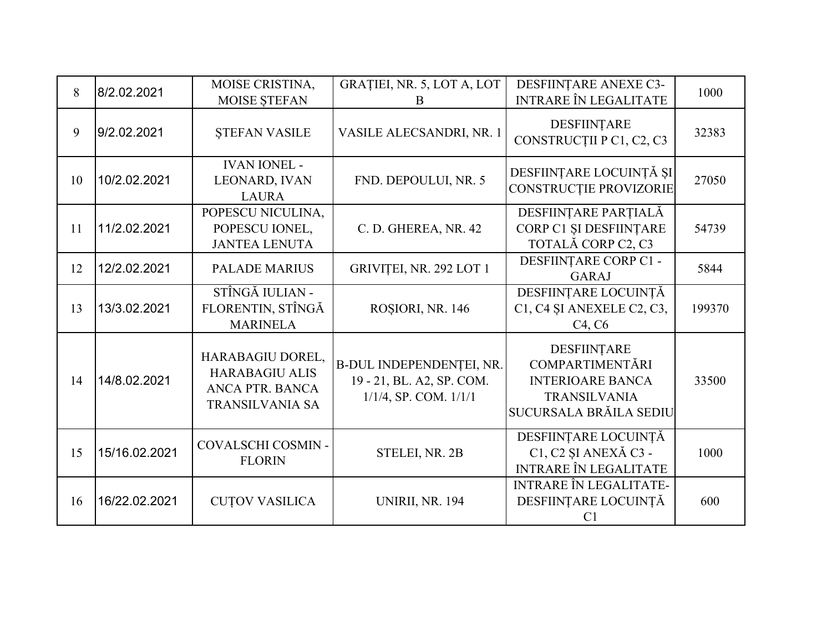| 8  | 8/2.02.2021   | MOISE CRISTINA,<br>MOISE STEFAN                                                        | GRAȚIEI, NR. 5, LOT A, LOT<br>B                                                     | DESFIINȚARE ANEXE C3-<br><b>INTRARE ÎN LEGALITATE</b>                                                             | 1000   |
|----|---------------|----------------------------------------------------------------------------------------|-------------------------------------------------------------------------------------|-------------------------------------------------------------------------------------------------------------------|--------|
| 9  | 9/2.02.2021   | <b>STEFAN VASILE</b>                                                                   | VASILE ALECSANDRI, NR. 1                                                            | DESFIINȚARE<br>CONSTRUCȚII P C1, C2, C3                                                                           | 32383  |
| 10 | 10/2.02.2021  | <b>IVAN IONEL -</b><br>LEONARD, IVAN<br><b>LAURA</b>                                   | FND. DEPOULUI, NR. 5                                                                | DESFIINȚARE LOCUINȚĂ ȘI<br>CONSTRUCȚIE PROVIZORIE                                                                 | 27050  |
| 11 | 11/2.02.2021  | POPESCU NICULINA,<br>POPESCU IONEL,<br><b>JANTEA LENUTA</b>                            | C. D. GHEREA, NR. 42                                                                | DESFIINȚARE PARȚIALĂ<br>CORP C1 ȘI DESFIINȚARE<br>TOTALĂ CORP C2, C3                                              | 54739  |
| 12 | 12/2.02.2021  | <b>PALADE MARIUS</b>                                                                   | GRIVIȚEI, NR. 292 LOT 1                                                             | DESFIINȚARE CORP C1 -<br><b>GARAJ</b>                                                                             | 5844   |
| 13 | 13/3.02.2021  | STÎNGĂ IULIAN -<br>FLORENTIN, STÎNGĂ<br><b>MARINELA</b>                                | ROȘIORI, NR. 146                                                                    | DESFIINȚARE LOCUINȚĂ<br>C1, C4 ȘI ANEXELE C2, C3,<br>C <sub>4</sub> , C <sub>6</sub>                              | 199370 |
| 14 | 14/8.02.2021  | HARABAGIU DOREL,<br><b>HARABAGIU ALIS</b><br>ANCA PTR. BANCA<br><b>TRANSILVANIA SA</b> | B-DUL INDEPENDENȚEI, NR.<br>19 - 21, BL. A2, SP. COM.<br>$1/1/4$ , SP. COM. $1/1/1$ | DESFIINȚARE<br><b>COMPARTIMENTĂRI</b><br><b>INTERIOARE BANCA</b><br><b>TRANSILVANIA</b><br>SUCURSALA BRĂILA SEDIU | 33500  |
| 15 | 15/16.02.2021 | COVALSCHI COSMIN -<br><b>FLORIN</b>                                                    | STELEI, NR. 2B                                                                      | DESFIINȚARE LOCUINȚĂ<br>C1, C2 ȘI ANEXĂ C3 -<br><b>INTRARE ÎN LEGALITATE</b>                                      | 1000   |
| 16 | 16/22.02.2021 | <b>CUTOV VASILICA</b>                                                                  | <b>UNIRII, NR. 194</b>                                                              | <b>INTRARE ÎN LEGALITATE-</b><br>DESFIINȚARE LOCUINȚĂ<br>C <sub>1</sub>                                           | 600    |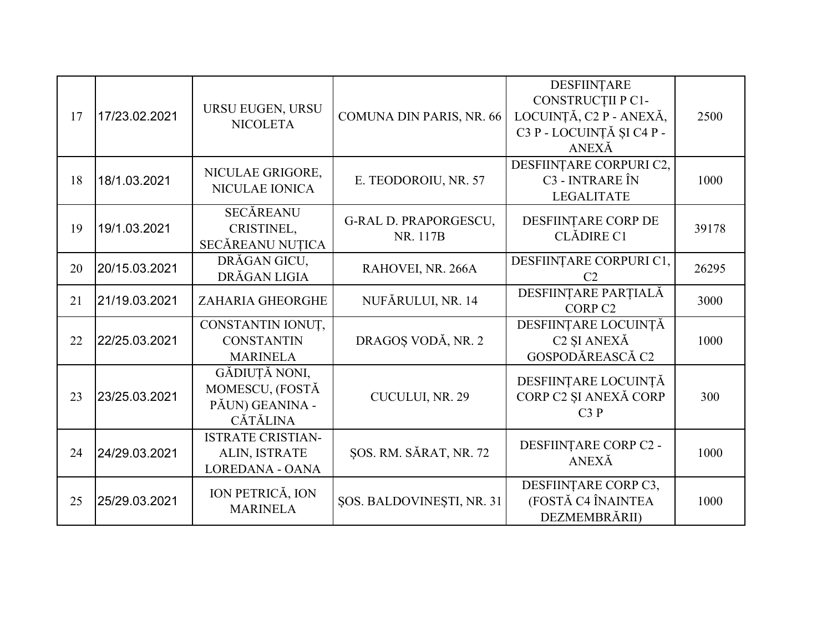| 17 | 17/23.02.2021 | URSU EUGEN, URSU<br><b>NICOLETA</b>                                    | COMUNA DIN PARIS, NR. 66                 | DESFIINȚARE<br>CONSTRUCȚII P C1-<br>LOCUINȚĂ, C2 P - ANEXĂ,<br>C3 P - LOCUINȚĂ ȘI C4 P -<br>ANEXĂ | 2500  |
|----|---------------|------------------------------------------------------------------------|------------------------------------------|---------------------------------------------------------------------------------------------------|-------|
| 18 | 18/1.03.2021  | NICULAE GRIGORE,<br>NICULAE IONICA                                     | E. TEODOROIU, NR. 57                     | DESFIINȚARE CORPURI C2,<br>C3 - INTRARE ÎN<br><b>LEGALITATE</b>                                   | 1000  |
| 19 | 19/1.03.2021  | <b>SECĂREANU</b><br>CRISTINEL,<br>SECĂREANU NUȚICA                     | <b>G-RAL D. PRAPORGESCU,</b><br>NR. 117B | DESFIINȚARE CORP DE<br><b>CLĂDIRE C1</b>                                                          | 39178 |
| 20 | 20/15.03.2021 | DRĂGAN GICU,<br>DRĂGAN LIGIA                                           | RAHOVEI, NR. 266A                        | DESFIINȚARE CORPURI C1,<br>C <sub>2</sub>                                                         | 26295 |
| 21 | 21/19.03.2021 | ZAHARIA GHEORGHE                                                       | NUFĂRULUI, NR. 14                        | DESFIINȚARE PARȚIALĂ<br>CORP <sub>C2</sub>                                                        | 3000  |
| 22 | 22/25.03.2021 | CONSTANTIN IONUȚ,<br><b>CONSTANTIN</b><br><b>MARINELA</b>              | DRAGOȘ VODĂ, NR. 2                       | DESFIINȚARE LOCUINȚĂ<br>C <sub>2</sub> ŞI ANEXĂ<br>GOSPODĂREASCĂ C2                               | 1000  |
| 23 | 23/25.03.2021 | GĂDIUȚĂ NONI,<br>MOMESCU, (FOSTĂ<br>PĂUN) GEANINA -<br><b>CĂTĂLINA</b> | CUCULUI, NR. 29                          | DESFIINȚARE LOCUINȚĂ<br>CORP C2 ȘI ANEXĂ CORP<br>C3P                                              | 300   |
| 24 | 24/29.03.2021 | <b>ISTRATE CRISTIAN-</b><br>ALIN, ISTRATE<br><b>LOREDANA - OANA</b>    | ŞOS. RM. SĂRAT, NR. 72                   | DESFIINȚARE CORP C2 -<br>ANEXĂ                                                                    | 1000  |
| 25 | 25/29.03.2021 | ION PETRICĂ, ION<br><b>MARINELA</b>                                    | ŞOS. BALDOVINEŞTI, NR. 31                | DESFIINȚARE CORP C3,<br>(FOSTĂ C4 ÎNAINTEA<br>DEZMEMBRĂRII)                                       | 1000  |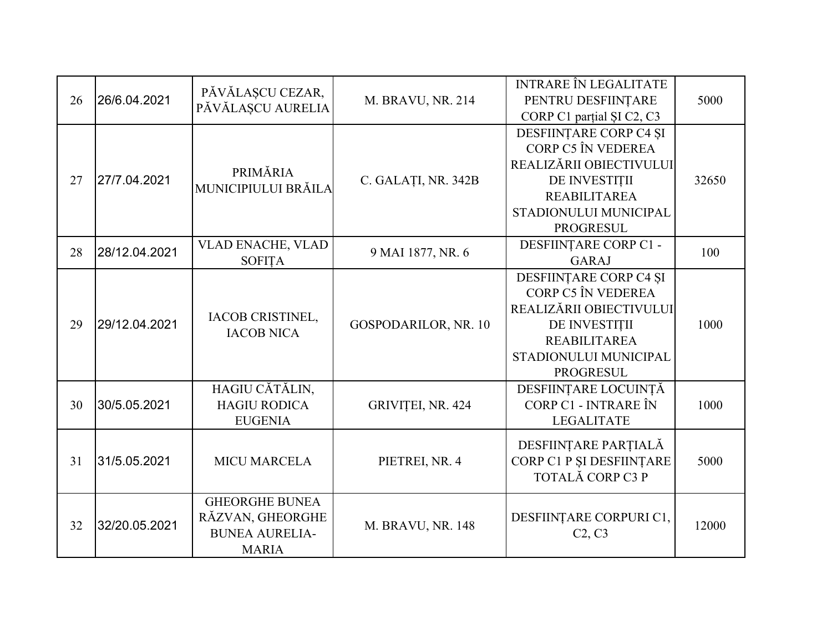| 26 | 26/6.04.2021  | PĂVĂLAȘCU CEZAR,<br>PĂVĂLAȘCU AURELIA                                              | M. BRAVU, NR. 214    | <b>INTRARE ÎN LEGALITATE</b><br>PENTRU DESFIINȚARE<br>CORP C1 partial SI C2, C3                                                                              | 5000  |
|----|---------------|------------------------------------------------------------------------------------|----------------------|--------------------------------------------------------------------------------------------------------------------------------------------------------------|-------|
| 27 | 27/7.04.2021  | PRIMĂRIA<br>MUNICIPIULUI BRĂILA                                                    | C. GALAȚI, NR. 342B  | DESFIINȚARE CORP C4 ȘI<br>CORP C5 ÎN VEDEREA<br>REALIZĂRII OBIECTIVULUI<br>DE INVESTIȚII<br><b>REABILITAREA</b><br>STADIONULUI MUNICIPAL<br><b>PROGRESUL</b> | 32650 |
| 28 | 28/12.04.2021 | <b>VLAD ENACHE, VLAD</b><br><b>SOFITA</b>                                          | 9 MAI 1877, NR. 6    | DESFIINȚARE CORP C1 -<br><b>GARAJ</b>                                                                                                                        | 100   |
| 29 | 29/12.04.2021 | <b>IACOB CRISTINEL,</b><br><b>IACOB NICA</b>                                       | GOSPODARILOR, NR. 10 | DESFIINȚARE CORP C4 ȘI<br>CORP C5 ÎN VEDEREA<br>REALIZĂRII OBIECTIVULUI<br>DE INVESTIȚII<br><b>REABILITAREA</b><br>STADIONULUI MUNICIPAL<br><b>PROGRESUL</b> | 1000  |
| 30 | 30/5.05.2021  | HAGIU CĂTĂLIN,<br><b>HAGIU RODICA</b><br><b>EUGENIA</b>                            | GRIVIȚEI, NR. 424    | DESFIINȚARE LOCUINȚĂ<br>CORP C1 - INTRARE ÎN<br><b>LEGALITATE</b>                                                                                            | 1000  |
| 31 | 31/5.05.2021  | <b>MICU MARCELA</b>                                                                | PIETREI, NR. 4       | DESFIINȚARE PARȚIALĂ<br>CORP C1 P ȘI DESFIINȚARE<br>TOTALĂ CORP C3 P                                                                                         | 5000  |
| 32 | 32/20.05.2021 | <b>GHEORGHE BUNEA</b><br>RĂZVAN, GHEORGHE<br><b>BUNEA AURELIA-</b><br><b>MARIA</b> | M. BRAVU, NR. 148    | DESFIINȚARE CORPURI C1,<br>C2, C3                                                                                                                            | 12000 |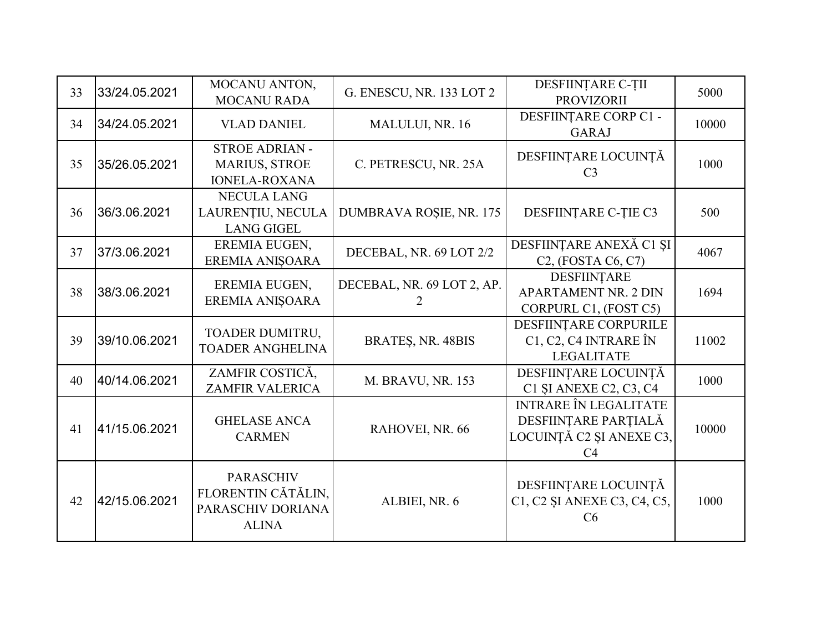| 33 | 33/24.05.2021 | MOCANU ANTON,<br><b>MOCANU RADA</b>                                         | G. ENESCU, NR. 133 LOT 2        | DESFIINȚARE C-ȚII<br><b>PROVIZORII</b>                                                             | 5000  |
|----|---------------|-----------------------------------------------------------------------------|---------------------------------|----------------------------------------------------------------------------------------------------|-------|
| 34 | 34/24.05.2021 | <b>VLAD DANIEL</b>                                                          | MALULUI, NR. 16                 | DESFIINȚARE CORP C1 -<br><b>GARAJ</b>                                                              | 10000 |
| 35 | 35/26.05.2021 | <b>STROE ADRIAN -</b><br><b>MARIUS, STROE</b><br><b>IONELA-ROXANA</b>       | C. PETRESCU, NR. 25A            | DESFIINȚARE LOCUINȚĂ<br>C <sub>3</sub>                                                             | 1000  |
| 36 | 36/3.06.2021  | <b>NECULA LANG</b><br>LAURENȚIU, NECULA<br><b>LANG GIGEL</b>                | DUMBRAVA ROȘIE, NR. 175         | DESFIINȚARE C-ȚIE C3                                                                               | 500   |
| 37 | 37/3.06.2021  | EREMIA EUGEN,<br>EREMIA ANIȘOARA                                            | DECEBAL, NR. 69 LOT 2/2         | DESFIINȚARE ANEXĂ C1 ȘI<br>$C2$ , (FOSTA $C6$ , $C7$ )                                             | 4067  |
| 38 | 38/3.06.2021  | EREMIA EUGEN,<br>EREMIA ANIŞOARA                                            | DECEBAL, NR. 69 LOT 2, AP.<br>2 | <b>DESFIINTARE</b><br><b>APARTAMENT NR. 2 DIN</b><br>CORPURL C1, (FOST C5)                         | 1694  |
| 39 | 39/10.06.2021 | TOADER DUMITRU,<br><b>TOADER ANGHELINA</b>                                  | BRATES, NR. 48BIS               | DESFIINTARE CORPURILE<br>C1, C2, C4 INTRARE ÎN<br><b>LEGALITATE</b>                                | 11002 |
| 40 | 40/14.06.2021 | ZAMFIR COSTICĂ,<br><b>ZAMFIR VALERICA</b>                                   | <b>M. BRAVU, NR. 153</b>        | DESFIINȚARE LOCUINȚĂ<br>C1 ȘI ANEXE C2, C3, C4                                                     | 1000  |
| 41 | 41/15.06.2021 | <b>GHELASE ANCA</b><br><b>CARMEN</b>                                        | RAHOVEI, NR. 66                 | <b>INTRARE ÎN LEGALITATE</b><br>DESFIINȚARE PARȚIALĂ<br>LOCUINȚĂ C2 ȘI ANEXE C3,<br>C <sub>4</sub> | 10000 |
| 42 | 42/15.06.2021 | <b>PARASCHIV</b><br>FLORENTIN CĂTĂLIN,<br>PARASCHIV DORIANA<br><b>ALINA</b> | ALBIEI, NR. 6                   | DESFIINȚARE LOCUINȚĂ<br>C1, C2 SI ANEXE C3, C4, C5,<br>C6                                          | 1000  |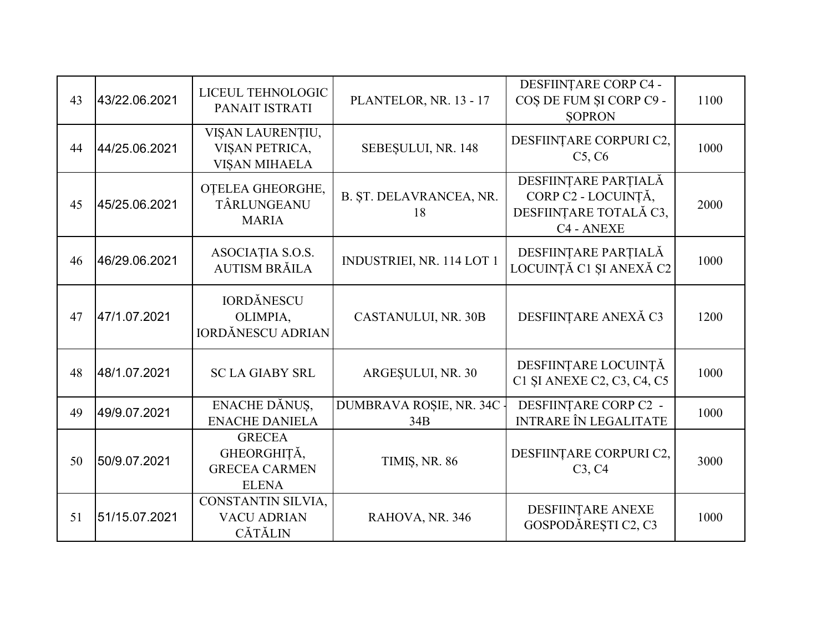| 43 | 43/22.06.2021 | LICEUL TEHNOLOGIC<br>PANAIT ISTRATI                                  | PLANTELOR, NR. 13 - 17           | DESFIINȚARE CORP C4 -<br>COȘ DE FUM ȘI CORP C9 -<br><b>SOPRON</b>                   | 1100 |
|----|---------------|----------------------------------------------------------------------|----------------------------------|-------------------------------------------------------------------------------------|------|
| 44 | 44/25.06.2021 | VIȘAN LAURENȚIU,<br>VIȘAN PETRICA,<br><b>VISAN MIHAELA</b>           | SEBEȘULUI, NR. 148               | DESFIINȚARE CORPURI C2,<br>C5, C6                                                   | 1000 |
| 45 | 45/25.06.2021 | OTELEA GHEORGHE,<br>TÂRLUNGEANU<br><b>MARIA</b>                      | B. ȘT. DELAVRANCEA, NR.<br>18    | DESFIINȚARE PARȚIALĂ<br>CORP C2 - LOCUINȚĂ,<br>DESFIINȚARE TOTALĂ C3,<br>C4 - ANEXE | 2000 |
| 46 | 46/29.06.2021 | ASOCIAȚIA S.O.S.<br><b>AUTISM BRĂILA</b>                             | INDUSTRIEI, NR. 114 LOT 1        | DESFIINȚARE PARȚIALĂ<br>LOCUINȚĂ C1 ȘI ANEXĂ C2                                     | 1000 |
| 47 | 47/1.07.2021  | <b>IORDĂNESCU</b><br>OLIMPIA,<br><b>IORDĂNESCU ADRIAN</b>            | CASTANULUI, NR. 30B              | DESFIINȚARE ANEXĂ C3                                                                | 1200 |
| 48 | 48/1.07.2021  | <b>SC LA GIABY SRL</b>                                               | ARGESULUI, NR. 30                | DESFIINȚARE LOCUINȚĂ<br>C1 ȘI ANEXE C2, C3, C4, C5                                  | 1000 |
| 49 | 49/9.07.2021  | ENACHE DĂNUS,<br><b>ENACHE DANIELA</b>                               | DUMBRAVA ROȘIE, NR. 34C -<br>34B | DESFIINȚARE CORP C2 -<br><b>INTRARE ÎN LEGALITATE</b>                               | 1000 |
| 50 | 50/9.07.2021  | <b>GRECEA</b><br>GHEORGHIȚĂ,<br><b>GRECEA CARMEN</b><br><b>ELENA</b> | TIMIȘ, NR. 86                    | DESFIINȚARE CORPURI C2,<br>C3, C4                                                   | 3000 |
| 51 | 51/15.07.2021 | CONSTANTIN SILVIA,<br><b>VACU ADRIAN</b><br><b>CĂTĂLIN</b>           | RAHOVA, NR. 346                  | DESFIINTARE ANEXE<br>GOSPODĂREȘTI C2, C3                                            | 1000 |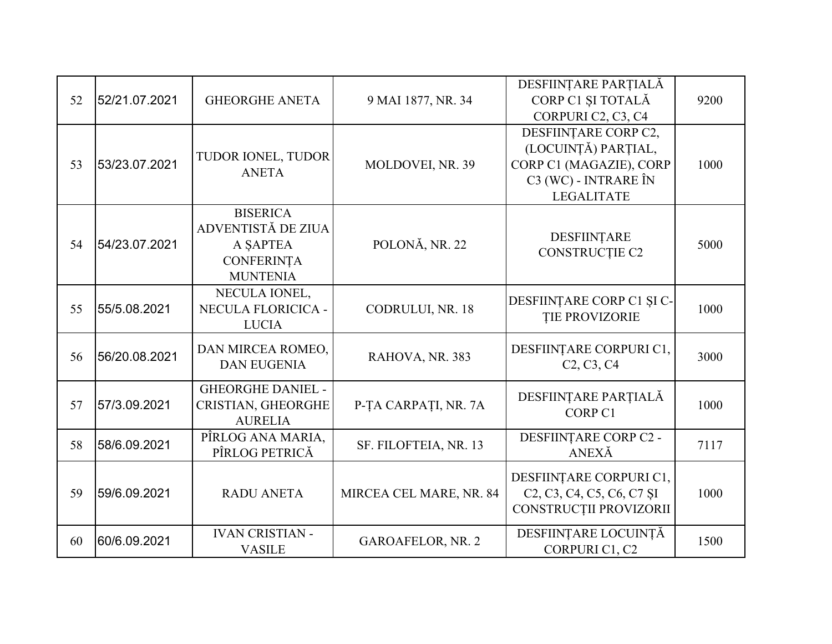|    |               |                                  |                          | DESFIINȚARE PARȚIALĂ                                                                                               |      |
|----|---------------|----------------------------------|--------------------------|--------------------------------------------------------------------------------------------------------------------|------|
| 52 | 52/21.07.2021 | <b>GHEORGHE ANETA</b>            | 9 MAI 1877, NR. 34       | CORP C1 ȘI TOTALĂ                                                                                                  | 9200 |
|    |               |                                  |                          | CORPURI C2, C3, C4                                                                                                 |      |
|    |               |                                  |                          | DESFIINTARE CORP C2,                                                                                               |      |
|    |               | TUDOR IONEL, TUDOR               |                          | (LOCUINȚĂ) PARȚIAL,                                                                                                |      |
| 53 | 53/23.07.2021 | <b>ANETA</b>                     | MOLDOVEI, NR. 39         | CORP C1 (MAGAZIE), CORP                                                                                            | 1000 |
|    |               |                                  |                          | C3 (WC) - INTRARE ÎN                                                                                               |      |
|    |               |                                  |                          | <b>LEGALITATE</b>                                                                                                  |      |
|    |               | <b>BISERICA</b>                  |                          |                                                                                                                    |      |
|    |               | ADVENTISTĂ DE ZIUA               |                          | DESFIINTARE                                                                                                        |      |
| 54 | 54/23.07.2021 | A SAPTEA                         | POLONĂ, NR. 22           | <b>CONSTRUCTIE C2</b>                                                                                              | 5000 |
|    |               | <b>CONFERINȚA</b>                |                          |                                                                                                                    |      |
|    |               | <b>MUNTENIA</b><br>NECULA IONEL, |                          |                                                                                                                    |      |
| 55 | 55/5.08.2021  | NECULA FLORICICA -               | CODRULUI, NR. 18         | DESFIINȚARE CORP C1 ȘI C-                                                                                          | 1000 |
|    |               | <b>LUCIA</b>                     |                          | <b>TIE PROVIZORIE</b>                                                                                              |      |
|    |               |                                  |                          |                                                                                                                    |      |
| 56 | 56/20.08.2021 | DAN MIRCEA ROMEO,                | RAHOVA, NR. 383          | DESFIINȚARE CORPURI C1,                                                                                            | 3000 |
|    |               | <b>DAN EUGENIA</b>               |                          | C <sub>2</sub> , C <sub>3</sub> , C <sub>4</sub>                                                                   |      |
|    |               | <b>GHEORGHE DANIEL -</b>         |                          |                                                                                                                    |      |
| 57 | 57/3.09.2021  | CRISTIAN, GHEORGHE               | P-TA CARPATI, NR. 7A     | DESFIINȚARE PARȚIALĂ                                                                                               | 1000 |
|    |               | <b>AURELIA</b>                   |                          | CORP <sub>C1</sub>                                                                                                 |      |
| 58 | 58/6.09.2021  | PÎRLOG ANA MARIA,                | SF. FILOFTEIA, NR. 13    | DESFIINȚARE CORP C2 -                                                                                              | 7117 |
|    |               | PÎRLOG PETRICĂ                   |                          | ANEXĂ                                                                                                              |      |
|    |               |                                  |                          | DESFIINȚARE CORPURI C1,                                                                                            |      |
| 59 | 59/6.09.2021  | <b>RADU ANETA</b>                | MIRCEA CEL MARE, NR. 84  | C <sub>2</sub> , C <sub>3</sub> , C <sub>4</sub> , C <sub>5</sub> , C <sub>6</sub> , C <sub>7</sub> S <sub>I</sub> | 1000 |
|    |               |                                  |                          | CONSTRUCȚII PROVIZORII                                                                                             |      |
|    |               |                                  |                          |                                                                                                                    |      |
| 60 | 60/6.09.2021  | <b>IVAN CRISTIAN -</b>           | <b>GAROAFELOR, NR. 2</b> | DESFIINȚARE LOCUINȚĂ                                                                                               | 1500 |
|    |               | <b>VASILE</b>                    |                          | CORPURI C1, C2                                                                                                     |      |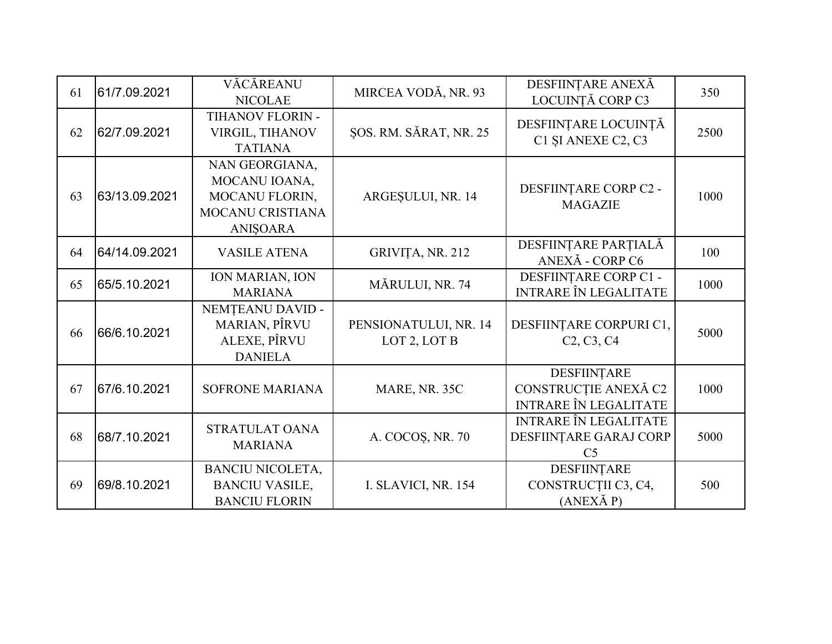| 61 | 61/7.09.2021  | VĂCĂREANU<br><b>NICOLAE</b>                                                              | MIRCEA VODĂ, NR. 93                   | DESFIINȚARE ANEXĂ<br>LOCUINȚĂ CORP C3                                       | 350  |
|----|---------------|------------------------------------------------------------------------------------------|---------------------------------------|-----------------------------------------------------------------------------|------|
| 62 | 62/7.09.2021  | TIHANOV FLORIN -<br>VIRGIL, TIHANOV<br><b>TATIANA</b>                                    | ŞOS. RM. SĂRAT, NR. 25                | DESFIINȚARE LOCUINȚĂ<br>C1 SI ANEXE C2, C3                                  | 2500 |
| 63 | 63/13.09.2021 | NAN GEORGIANA,<br>MOCANU IOANA,<br>MOCANU FLORIN,<br>MOCANU CRISTIANA<br><b>ANIŞOARA</b> | ARGESULUI, NR. 14                     | DESFIINȚARE CORP C2 -<br><b>MAGAZIE</b>                                     | 1000 |
| 64 | 64/14.09.2021 | <b>VASILE ATENA</b>                                                                      | GRIVIȚA, NR. 212                      | DESFIINȚARE PARȚIALĂ<br>ANEXĂ - CORP C6                                     | 100  |
| 65 | 65/5.10.2021  | ION MARIAN, ION<br><b>MARIANA</b>                                                        | MĂRULUI, NR. 74                       | DESFIINȚARE CORP C1 -<br><b>INTRARE ÎN LEGALITATE</b>                       | 1000 |
| 66 | 66/6.10.2021  | NEMȚEANU DAVID -<br><b>MARIAN, PÎRVU</b><br>ALEXE, PÎRVU<br><b>DANIELA</b>               | PENSIONATULUI, NR. 14<br>LOT 2, LOT B | DESFIINȚARE CORPURI C1,<br>C <sub>2</sub> , C <sub>3</sub> , C <sub>4</sub> | 5000 |
| 67 | 67/6.10.2021  | <b>SOFRONE MARIANA</b>                                                                   | MARE, NR. 35C                         | DESFIINȚARE<br>CONSTRUCȚIE ANEXĂ C2<br><b>INTRARE ÎN LEGALITATE</b>         | 1000 |
| 68 | 68/7.10.2021  | STRATULAT OANA<br><b>MARIANA</b>                                                         | A. COCOS, NR. 70                      | <b>INTRARE ÎN LEGALITATE</b><br>DESFIINȚARE GARAJ CORP<br>C <sub>5</sub>    | 5000 |
| 69 | 69/8.10.2021  | <b>BANCIU NICOLETA,</b><br><b>BANCIU VASILE,</b><br><b>BANCIU FLORIN</b>                 | I. SLAVICI, NR. 154                   | DESFIINTARE<br>CONSTRUCȚII C3, C4,<br>(ANEXÅP)                              | 500  |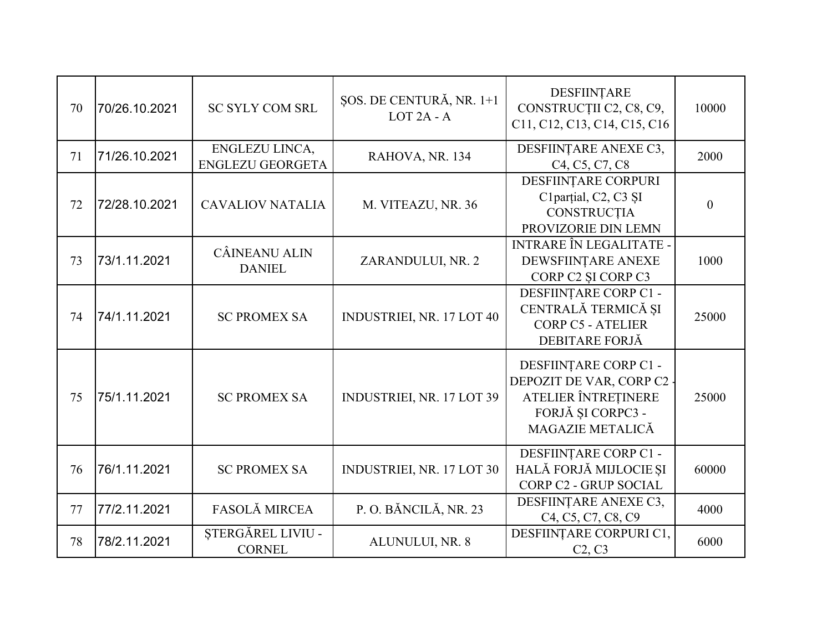| 70 | 70/26.10.2021 | <b>SC SYLY COM SRL</b>                    | ŞOS. DE CENTURĂ, NR. 1+1<br>$LOT 2A - A$ | DESFIINȚARE<br>CONSTRUCȚII C2, C8, C9,<br>C11, C12, C13, C14, C15, C16                                           | 10000    |
|----|---------------|-------------------------------------------|------------------------------------------|------------------------------------------------------------------------------------------------------------------|----------|
| 71 | 71/26.10.2021 | ENGLEZU LINCA,<br><b>ENGLEZU GEORGETA</b> | RAHOVA, NR. 134                          | DESFIINTARE ANEXE C3,<br>C4, C5, C7, C8                                                                          | 2000     |
| 72 | 72/28.10.2021 | <b>CAVALIOV NATALIA</b>                   | M. VITEAZU, NR. 36                       | DESFIINȚARE CORPURI<br>C1parțial, C2, C3 ȘI<br>CONSTRUCȚIA<br>PROVIZORIE DIN LEMN                                | $\theta$ |
| 73 | 73/1.11.2021  | CÂINEANU ALIN<br><b>DANIEL</b>            | ZARANDULUI, NR. 2                        | <b>INTRARE ÎN LEGALITATE -</b><br>DEWSFIINTARE ANEXE<br>CORP C2 SI CORP C3                                       | 1000     |
| 74 | 74/1.11.2021  | <b>SC PROMEX SA</b>                       | <b>INDUSTRIEI, NR. 17 LOT 40</b>         | DESFIINȚARE CORP C1 -<br>CENTRALĂ TERMICĂ ȘI<br><b>CORP C5 - ATELIER</b><br>DEBITARE FORJĂ                       | 25000    |
| 75 | 75/1.11.2021  | <b>SC PROMEX SA</b>                       | INDUSTRIEI, NR. 17 LOT 39                | DESFIINTARE CORP C1 -<br>DEPOZIT DE VAR, CORP C2<br>ATELIER ÎNTREȚINERE<br>FORJĂ ȘI CORPC3 -<br>MAGAZIE METALICĂ | 25000    |
| 76 | 76/1.11.2021  | <b>SC PROMEX SA</b>                       | <b>INDUSTRIEI, NR. 17 LOT 30</b>         | DESFIINȚARE CORP C1 -<br>HALĂ FORJĂ MIJLOCIE ȘI<br>CORP C2 - GRUP SOCIAL                                         | 60000    |
| 77 | 77/2.11.2021  | FASOLĂ MIRCEA                             | P.O. BĂNCILĂ, NR. 23                     | DESFIINȚARE ANEXE C3,<br>C <sub>4</sub> , C <sub>5</sub> , C <sub>7</sub> , C <sub>8</sub> , C <sub>9</sub>      | 4000     |
| 78 | 78/2.11.2021  | ȘTERGĂREL LIVIU -<br><b>CORNEL</b>        | ALUNULUI, NR. 8                          | DESFIINȚARE CORPURI C1,<br>C2, C3                                                                                | 6000     |